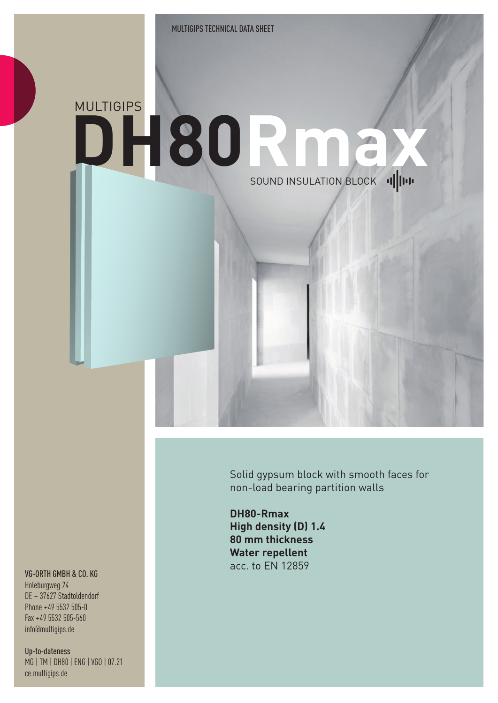## MULTIGIPS **DH80Rmax**  SOUND INSULATION BLOCK ...

Solid gypsum block with smooth faces for non-load bearing partition walls

**DH80-Rmax High density (D) 1.4 80 mm thickness Water repellent** acc. to EN 12859

## VG-ORTH GMBH & CO. KG

Holeburgweg 24 DE – 37627 Stadtoldendorf Phone +49 5532 505-0 Fax +49 5532 505-560 info@multigips.de

Up-to-dateness MG | TM | DH80 | ENG | VGO | 07.21 ce.multigips.de